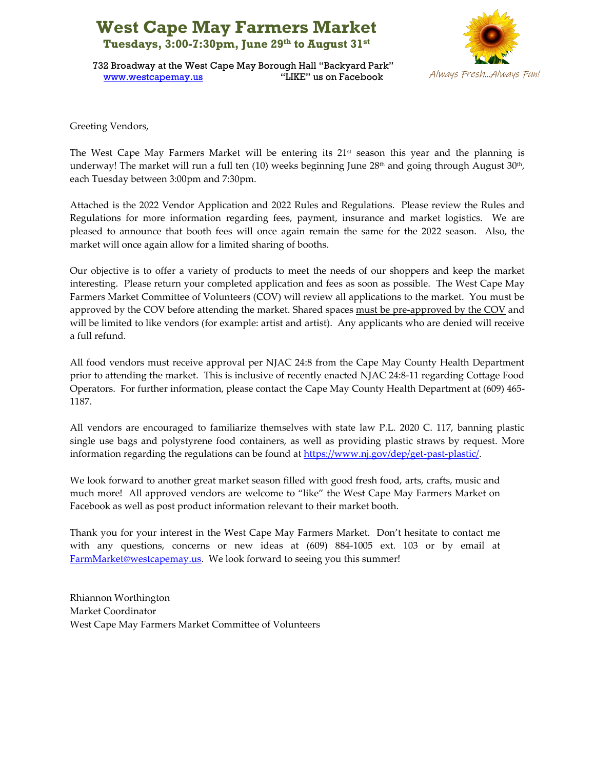## **West Cape May Farmers Market Tuesdays, 3:00-7:30pm, June 29th to August 31st**



732 Broadway at the West Cape May Borough Hall "Backyard Park" [www.westcapemay.us](http://www.westcapemay.us/) "LIKE" us on Facebook

Greeting Vendors,

The West Cape May Farmers Market will be entering its 21 st season this year and the planning is underway! The market will run a full ten (10) weeks beginning June 28th and going through August 30th, each Tuesday between 3:00pm and 7:30pm.

Attached is the 2022 Vendor Application and 2022 Rules and Regulations. Please review the Rules and Regulations for more information regarding fees, payment, insurance and market logistics. We are pleased to announce that booth fees will once again remain the same for the 2022 season. Also, the market will once again allow for a limited sharing of booths.

Our objective is to offer a variety of products to meet the needs of our shoppers and keep the market interesting. Please return your completed application and fees as soon as possible. The West Cape May Farmers Market Committee of Volunteers (COV) will review all applications to the market. You must be approved by the COV before attending the market. Shared spaces must be pre-approved by the COV and will be limited to like vendors (for example: artist and artist). Any applicants who are denied will receive a full refund.

All food vendors must receive approval per NJAC 24:8 from the Cape May County Health Department prior to attending the market. This is inclusive of recently enacted NJAC 24:8-11 regarding Cottage Food Operators. For further information, please contact the Cape May County Health Department at (609) 465- 1187.

All vendors are encouraged to familiarize themselves with state law P.L. 2020 C. 117, banning plastic single use bags and polystyrene food containers, as well as providing plastic straws by request. More information regarding the regulations can be found at [https://www.nj.gov/dep/get-past-plastic/.](https://www.nj.gov/dep/get-past-plastic/)

We look forward to another great market season filled with good fresh food, arts, crafts, music and much more! All approved vendors are welcome to "like" the West Cape May Farmers Market on Facebook as well as post product information relevant to their market booth.

Thank you for your interest in the West Cape May Farmers Market. Don't hesitate to contact me with any questions, concerns or new ideas at (609) 884-1005 ext. 103 or by email at [FarmMarket@westcapemay.us.](mailto:FarmMarket@westcapemay.us) We look forward to seeing you this summer!

Rhiannon Worthington Market Coordinator West Cape May Farmers Market Committee of Volunteers